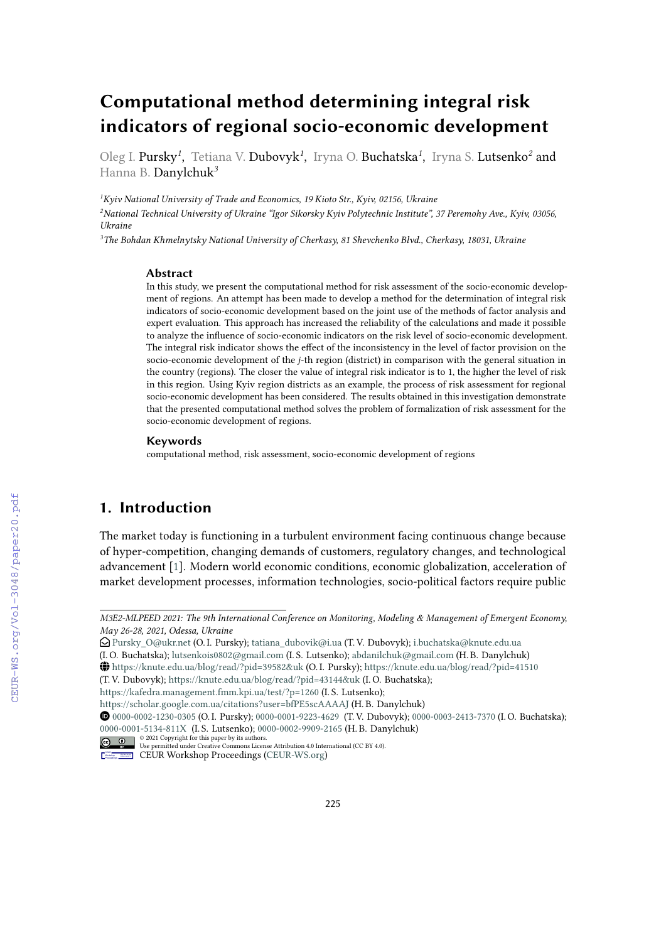# **Computational method determining integral risk indicators of regional socio-economic development**

Oleg I. Pursky<sup>1</sup>, Tetiana V. Dubovyk<sup>1</sup>, Iryna O. Buchatska<sup>1</sup>, Iryna S. Lutsenko<sup>2</sup> and Hanna B. Danylchuk*<sup>3</sup>*

*<sup>1</sup>Kyiv National University of Trade and Economics, 19 Kioto Str., Kyiv, 02156, Ukraine*

*<sup>2</sup>National Technical University of Ukraine "Igor Sikorsky Kyiv Polytechnic Institute", 37 Peremohy Ave., Kyiv, 03056, Ukraine*

*<sup>3</sup>The Bohdan Khmelnytsky National University of Cherkasy, 81 Shevchenko Blvd., Cherkasy, 18031, Ukraine*

#### **Abstract**

In this study, we present the computational method for risk assessment of the socio-economic development of regions. An attempt has been made to develop a method for the determination of integral risk indicators of socio-economic development based on the joint use of the methods of factor analysis and expert evaluation. This approach has increased the reliability of the calculations and made it possible to analyze the influence of socio-economic indicators on the risk level of socio-economic development. The integral risk indicator shows the effect of the inconsistency in the level of factor provision on the socio-economic development of the *j*-th region (district) in comparison with the general situation in the country (regions). The closer the value of integral risk indicator is to 1, the higher the level of risk in this region. Using Kyiv region districts as an example, the process of risk assessment for regional socio-economic development has been considered. The results obtained in this investigation demonstrate that the presented computational method solves the problem of formalization of risk assessment for the socio-economic development of regions.

#### **Keywords**

computational method, risk assessment, socio-economic development of regions

## **1. Introduction**

The market today is functioning in a turbulent environment facing continuous change because of hyper-competition, changing demands of customers, regulatory changes, and technological advancement [\[1\]](#page--1-0). Modern world economic conditions, economic globalization, acceleration of market development processes, information technologies, socio-political factors require public

(I. O. Buchatska); [lutsenkois0802@gmail.com](mailto:lutsenkois0802@gmail.com) (I. S. Lutsenko); [abdanilchuk@gmail.com](mailto:abdanilchuk@gmail.com) (H. B. Danylchuk)

(T. V. Dubovyk); <https://knute.edu.ua/blog/read/?pid=43144&uk> (I. O. Buchatska);

<https://kafedra.management.fmm.kpi.ua/test/?p=1260> (I. S. Lutsenko);

*M3E2-MLPEED 2021: The 9th International Conference on Monitoring, Modeling & Management of Emergent Economy, May 26-28, 2021, Odessa, Ukraine*

Envelope-Open [Pursky\\_O@ukr.net](mailto:Pursky_O@ukr.net) (O. I. Pursky); [tatiana\\_dubovik@i.ua](mailto:tatiana_dubovik@i.ua) (T. V. Dubovyk); [i.buchatska@knute.edu.ua](mailto:i.buchatska@knute.edu.ua)

GLOBE <https://knute.edu.ua/blog/read/?pid=39582&uk> (O. I. Pursky); <https://knute.edu.ua/blog/read/?pid=41510>

<https://scholar.google.com.ua/citations?user=bfPE5scAAAAJ> (H. B. Danylchuk)

Orcid [0000-0002-1230-0305](https://orcid.org/0000-0002-1230-0305) (O. I. Pursky); [0000-0001-9223-4629](https://orcid.org/ 0000-0001-9223-4629 ) (T. V. Dubovyk); [0000-0003-2413-7370](https://orcid.org/0000-0003-2413-7370) (I. O. Buchatska); [0000-0001-5134-811X](https://orcid.org/ 0000-0001-5134-811X ) (I. S. Lutsenko); [0000-0002-9909-2165](https://orcid.org/0000-0002-9909-2165) (H. B. Danylchuk)

<sup>© 2021</sup> Copyright for this paper by its authors. Use permitted under Creative Commons License Attribution 4.0 International (CC BY 4.0).

CEUR Workshop [Proceedings](http://ceur-ws.org) [\(CEUR-WS.org\)](http://ceur-ws.org)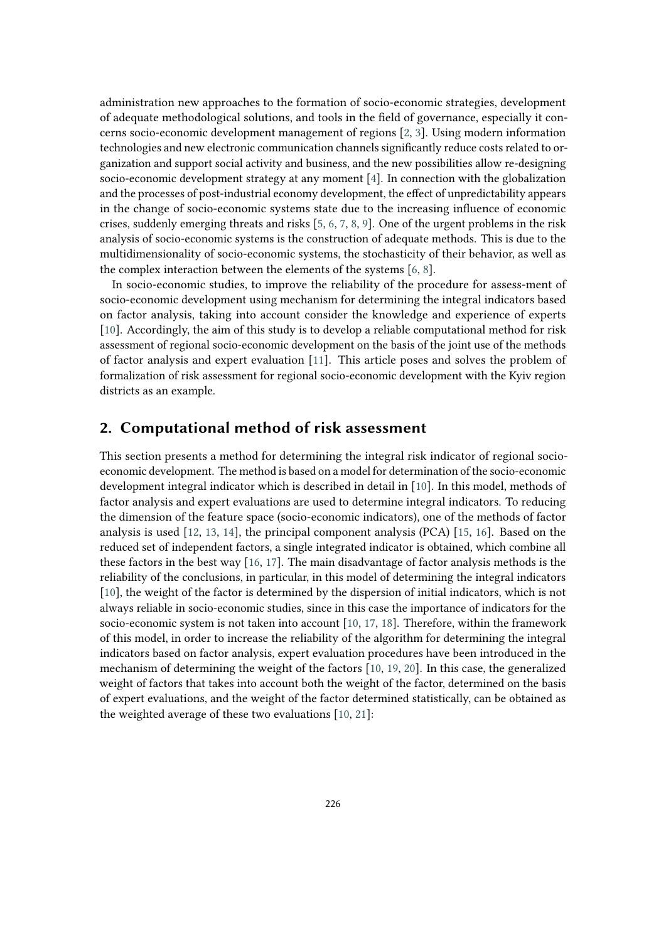administration new approaches to the formation of socio-economic strategies, development of adequate methodological solutions, and tools in the field of governance, especially it concerns socio-economic development management of regions [\[2,](#page-8-0) [3\]](#page-8-1). Using modern information technologies and new electronic communication channels significantly reduce costs related to organization and support social activity and business, and the new possibilities allow re-designing socio-economic development strategy at any moment [\[4\]](#page-8-2). In connection with the globalization and the processes of post-industrial economy development, the effect of unpredictability appears in the change of socio-economic systems state due to the increasing influence of economic crises, suddenly emerging threats and risks [\[5,](#page-8-3) [6,](#page-8-4) [7,](#page-8-5) [8,](#page-8-6) [9\]](#page-8-7). One of the urgent problems in the risk analysis of socio-economic systems is the construction of adequate methods. This is due to the multidimensionality of socio-economic systems, the stochasticity of their behavior, as well as the complex interaction between the elements of the systems [\[6,](#page-8-4) [8\]](#page-8-6).

In socio-economic studies, to improve the reliability of the procedure for assess-ment of socio-economic development using mechanism for determining the integral indicators based on factor analysis, taking into account consider the knowledge and experience of experts [\[10\]](#page-8-8). Accordingly, the aim of this study is to develop a reliable computational method for risk assessment of regional socio-economic development on the basis of the joint use of the methods of factor analysis and expert evaluation [\[11\]](#page-8-9). This article poses and solves the problem of formalization of risk assessment for regional socio-economic development with the Kyiv region districts as an example.

### **2. Computational method of risk assessment**

This section presents a method for determining the integral risk indicator of regional socioeconomic development. The method is based on a model for determination of the socio-economic development integral indicator which is described in detail in [\[10\]](#page-8-8). In this model, methods of factor analysis and expert evaluations are used to determine integral indicators. To reducing the dimension of the feature space (socio-economic indicators), one of the methods of factor analysis is used [\[12,](#page-8-10) [13,](#page-8-11) [14\]](#page-8-12), the principal component analysis (PCA) [\[15,](#page-8-13) [16\]](#page-8-14). Based on the reduced set of independent factors, a single integrated indicator is obtained, which combine all these factors in the best way [\[16,](#page-8-14) [17\]](#page-9-0). The main disadvantage of factor analysis methods is the reliability of the conclusions, in particular, in this model of determining the integral indicators [\[10\]](#page-8-8), the weight of the factor is determined by the dispersion of initial indicators, which is not always reliable in socio-economic studies, since in this case the importance of indicators for the socio-economic system is not taken into account [\[10,](#page-8-8) [17,](#page-9-0) [18\]](#page-9-1). Therefore, within the framework of this model, in order to increase the reliability of the algorithm for determining the integral indicators based on factor analysis, expert evaluation procedures have been introduced in the mechanism of determining the weight of the factors [\[10,](#page-8-8) [19,](#page-9-2) [20\]](#page-9-3). In this case, the generalized weight of factors that takes into account both the weight of the factor, determined on the basis of expert evaluations, and the weight of the factor determined statistically, can be obtained as the weighted average of these two evaluations [\[10,](#page-8-8) [21\]](#page-9-4):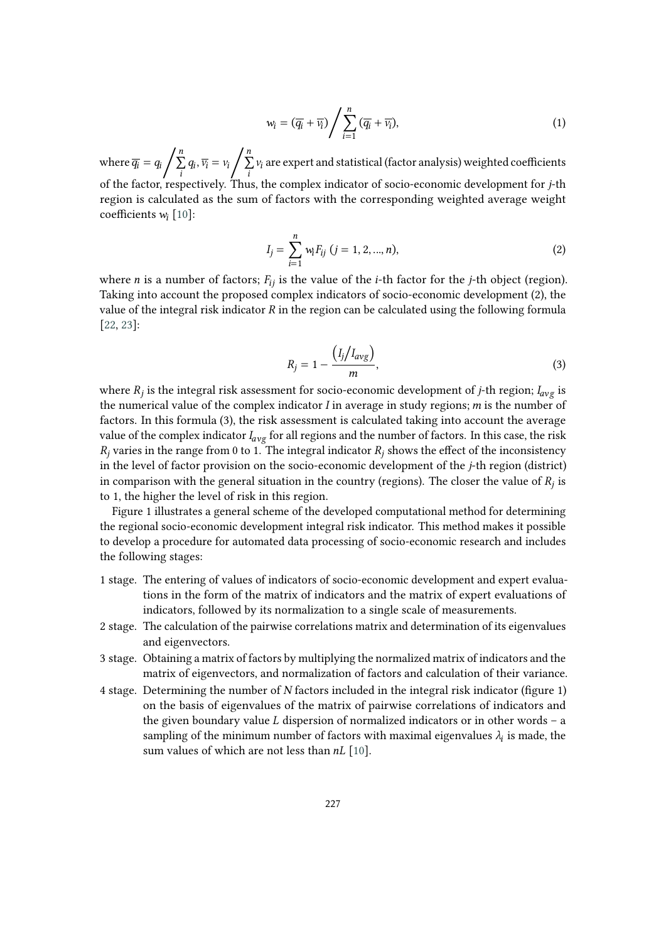$$
w_i = (\overline{q_i} + \overline{v_i}) / \sum_{i=1}^n (\overline{q_i} + \overline{v_i}),
$$
\n(1)

where  $\overline{q_i} = q_i$ n ∑  $\sum_i q_i, \overline{v_i} = v_i$  $\boldsymbol{n}$ ∑  $\sum\limits_i v_i$  are expert and statistical (factor analysis) weighted coefficients of the factor, respectively. Thus, the complex indicator of socio-economic development for *j*-th region is calculated as the sum of factors with the corresponding weighted average weight coefficients  $w_i$  [\[10\]](#page-8-8):

$$
I_j = \sum_{i=1}^n w_i F_{ij} \ (j = 1, 2, ..., n), \tag{2}
$$

where *n* is a number of factors;  $F_{ij}$  is the value of the *i*-th factor for the *j*-th object (region). Taking into account the proposed complex indicators of socio-economic development (2), the value of the integral risk indicator  $R$  in the region can be calculated using the following formula [\[22,](#page-9-5) [23\]](#page-9-6):

$$
R_j = 1 - \frac{\left(I_j \middle/ I_{avg}\right)}{m},\tag{3}
$$

where  $R_j$  is the integral risk assessment for socio-economic development of *j*-th region;  $I_{avg}$  is the numerical value of the complex indicator  $I$  in average in study regions;  $m$  is the number of factors. In this formula (3), the risk assessment is calculated taking into account the average value of the complex indicator  $I_{avg}$  for all regions and the number of factors. In this case, the risk  $R_j$  varies in the range from 0 to 1. The integral indicator  $R_j$  shows the effect of the inconsistency in the level of factor provision on the socio-economic development of the  $j$ -th region (district) in comparison with the general situation in the country (regions). The closer the value of  $R_j$  is to 1, the higher the level of risk in this region.

Figure 1 illustrates a general scheme of the developed computational method for determining the regional socio-economic development integral risk indicator. This method makes it possible to develop a procedure for automated data processing of socio-economic research and includes the following stages:

- 1 stage. The entering of values of indicators of socio-economic development and expert evaluations in the form of the matrix of indicators and the matrix of expert evaluations of indicators, followed by its normalization to a single scale of measurements.
- 2 stage. The calculation of the pairwise correlations matrix and determination of its eigenvalues and eigenvectors.
- 3 stage. Obtaining a matrix of factors by multiplying the normalized matrix of indicators and the matrix of eigenvectors, and normalization of factors and calculation of their variance.
- 4 stage. Determining the number of  $N$  factors included in the integral risk indicator (figure 1) on the basis of eigenvalues of the matrix of pairwise correlations of indicators and the given boundary value  $L$  dispersion of normalized indicators or in other words – a sampling of the minimum number of factors with maximal eigenvalues  $\lambda_i$  is made, the sum values of which are not less than  $nL$  [\[10\]](#page-8-8).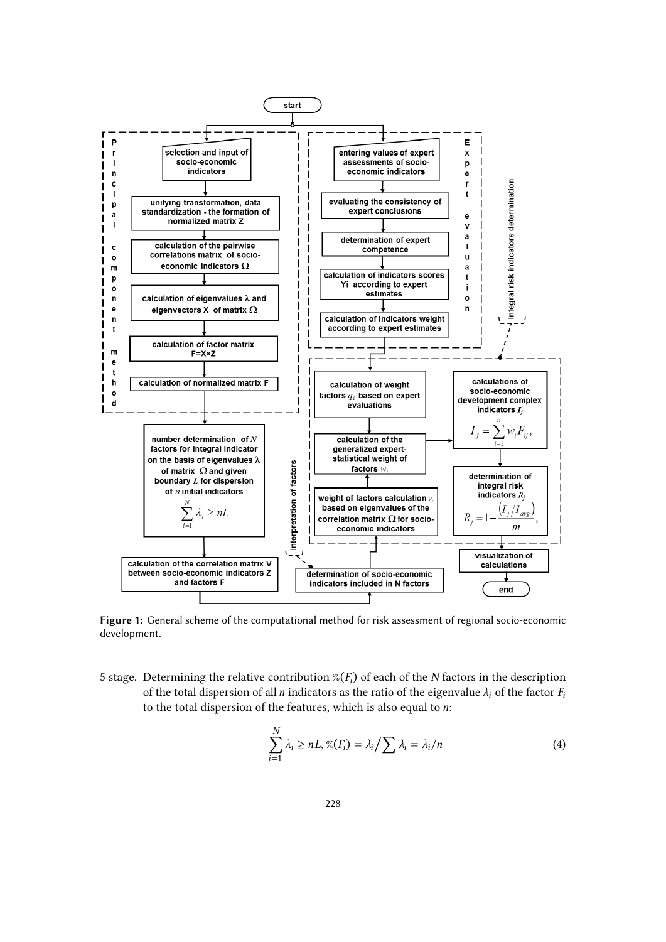

**Figure 1:** General scheme of the computational method for risk assessment of regional socio-economic development.

5 stage. Determining the relative contribution  $\mathcal{K}(F_i)$  of each of the *N* factors in the description of the total dispersion of all *n* indicators as the ratio of the eigenvalue  $\lambda_i$  of the factor  $F_i$ to the total dispersion of the features, which is also equal to  $n$ :

$$
\sum_{i=1}^{N} \lambda_i \ge nL, \% (F_i) = \lambda_i / \sum \lambda_i = \lambda_i / n \tag{4}
$$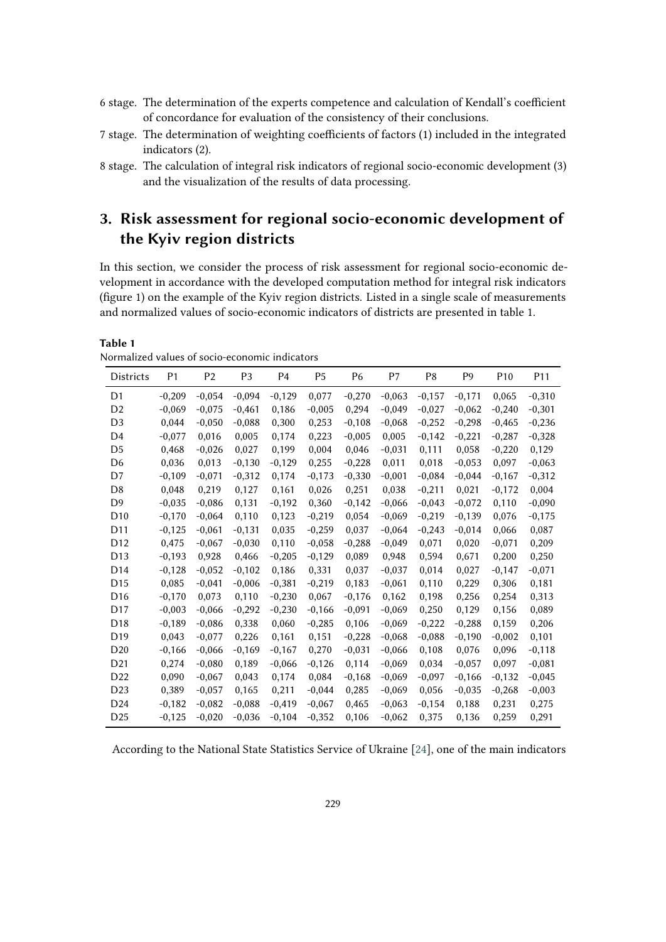- 6 stage. The determination of the experts competence and calculation of Kendall's coefficient of concordance for evaluation of the consistency of their conclusions.
- 7 stage. The determination of weighting coefficients of factors (1) included in the integrated indicators (2).
- 8 stage. The calculation of integral risk indicators of regional socio-economic development (3) and the visualization of the results of data processing.

## **3. Risk assessment for regional socio-economic development of the Kyiv region districts**

In this section, we consider the process of risk assessment for regional socio-economic development in accordance with the developed computation method for integral risk indicators (figure 1) on the example of the Kyiv region districts. Listed in a single scale of measurements and normalized values of socio-economic indicators of districts are presented in table 1.

**Table 1** Normalized values of socio-economic indicators

| <b>Districts</b> | P <sub>1</sub> | P <sub>2</sub> | P <sub>3</sub> | P <sub>4</sub> | P <sub>5</sub> | P <sub>6</sub> | P7       | P8       | P <sub>9</sub> | P <sub>10</sub> | P <sub>11</sub> |
|------------------|----------------|----------------|----------------|----------------|----------------|----------------|----------|----------|----------------|-----------------|-----------------|
| D1               | $-0,209$       | $-0.054$       | $-0,094$       | $-0,129$       | 0,077          | $-0,270$       | $-0,063$ | $-0,157$ | $-0,171$       | 0,065           | $-0,310$        |
| D <sub>2</sub>   | $-0,069$       | $-0.075$       | $-0,461$       | 0,186          | $-0,005$       | 0,294          | $-0,049$ | $-0,027$ | $-0,062$       | $-0,240$        | $-0,301$        |
| D <sub>3</sub>   | 0,044          | $-0.050$       | $-0,088$       | 0,300          | 0,253          | $-0,108$       | $-0,068$ | $-0,252$ | $-0,298$       | $-0,465$        | $-0,236$        |
| D4               | $-0,077$       | 0,016          | 0,005          | 0,174          | 0,223          | $-0,005$       | 0,005    | $-0,142$ | $-0,221$       | $-0,287$        | $-0,328$        |
| D <sub>5</sub>   | 0,468          | $-0,026$       | 0,027          | 0,199          | 0,004          | 0,046          | $-0,031$ | 0,111    | 0,058          | $-0,220$        | 0,129           |
| D <sub>6</sub>   | 0,036          | 0,013          | $-0,130$       | $-0,129$       | 0,255          | $-0,228$       | 0,011    | 0,018    | $-0,053$       | 0,097           | $-0,063$        |
| D7               | $-0,109$       | $-0,071$       | $-0,312$       | 0,174          | $-0,173$       | $-0,330$       | $-0,001$ | $-0,084$ | $-0,044$       | $-0,167$        | $-0,312$        |
| D <sub>8</sub>   | 0,048          | 0,219          | 0,127          | 0,161          | 0,026          | 0,251          | 0,038    | $-0,211$ | 0,021          | $-0,172$        | 0,004           |
| D <sub>9</sub>   | $-0.035$       | $-0,086$       | 0,131          | $-0,192$       | 0.360          | $-0,142$       | $-0.066$ | $-0,043$ | $-0.072$       | 0.110           | $-0,090$        |
| D <sub>10</sub>  | $-0,170$       | $-0,064$       | 0,110          | 0,123          | $-0,219$       | 0,054          | $-0,069$ | $-0,219$ | $-0,139$       | 0,076           | $-0,175$        |
| D <sub>11</sub>  | $-0,125$       | $-0,061$       | $-0,131$       | 0,035          | $-0,259$       | 0,037          | $-0,064$ | $-0,243$ | $-0,014$       | 0,066           | 0,087           |
| D <sub>12</sub>  | 0,475          | $-0,067$       | $-0,030$       | 0,110          | $-0,058$       | $-0,288$       | $-0,049$ | 0,071    | 0,020          | $-0,071$        | 0,209           |
| D <sub>13</sub>  | $-0,193$       | 0,928          | 0,466          | $-0,205$       | $-0,129$       | 0,089          | 0,948    | 0,594    | 0,671          | 0,200           | 0,250           |
| D <sub>14</sub>  | $-0,128$       | $-0.052$       | $-0,102$       | 0,186          | 0,331          | 0,037          | $-0.037$ | 0,014    | 0,027          | $-0,147$        | $-0,071$        |
| D <sub>15</sub>  | 0,085          | $-0,041$       | $-0,006$       | $-0,381$       | $-0,219$       | 0,183          | $-0,061$ | 0,110    | 0,229          | 0,306           | 0,181           |
| D <sub>16</sub>  | $-0,170$       | 0,073          | 0,110          | $-0,230$       | 0,067          | $-0,176$       | 0,162    | 0,198    | 0,256          | 0,254           | 0,313           |
| D <sub>17</sub>  | $-0.003$       | $-0,066$       | $-0,292$       | $-0,230$       | $-0,166$       | $-0,091$       | $-0.069$ | 0,250    | 0.129          | 0,156           | 0,089           |
| D <sub>18</sub>  | $-0,189$       | $-0,086$       | 0,338          | 0,060          | $-0,285$       | 0,106          | $-0,069$ | $-0,222$ | $-0,288$       | 0,159           | 0,206           |
| D <sub>19</sub>  | 0,043          | $-0.077$       | 0,226          | 0,161          | 0,151          | $-0,228$       | $-0,068$ | $-0.088$ | $-0,190$       | $-0,002$        | 0,101           |
| D <sub>20</sub>  | $-0,166$       | $-0,066$       | $-0,169$       | $-0,167$       | 0,270          | $-0,031$       | $-0,066$ | 0,108    | 0,076          | 0,096           | $-0,118$        |
| D <sub>21</sub>  | 0,274          | $-0,080$       | 0,189          | $-0,066$       | $-0,126$       | 0,114          | $-0,069$ | 0,034    | $-0,057$       | 0,097           | $-0,081$        |
| D <sub>22</sub>  | 0.090          | $-0,067$       | 0,043          | 0,174          | 0,084          | $-0,168$       | $-0,069$ | $-0,097$ | $-0,166$       | $-0,132$        | $-0,045$        |
| D <sub>23</sub>  | 0,389          | $-0.057$       | 0,165          | 0,211          | $-0.044$       | 0,285          | $-0,069$ | 0,056    | $-0.035$       | $-0,268$        | $-0,003$        |
| D <sub>24</sub>  | $-0,182$       | $-0.082$       | $-0,088$       | $-0,419$       | $-0,067$       | 0,465          | $-0,063$ | $-0,154$ | 0,188          | 0,231           | 0,275           |
| D <sub>25</sub>  | $-0,125$       | $-0,020$       | $-0,036$       | $-0,104$       | $-0,352$       | 0,106          | $-0,062$ | 0.375    | 0,136          | 0,259           | 0,291           |

According to the National State Statistics Service of Ukraine [\[24\]](#page-9-7), one of the main indicators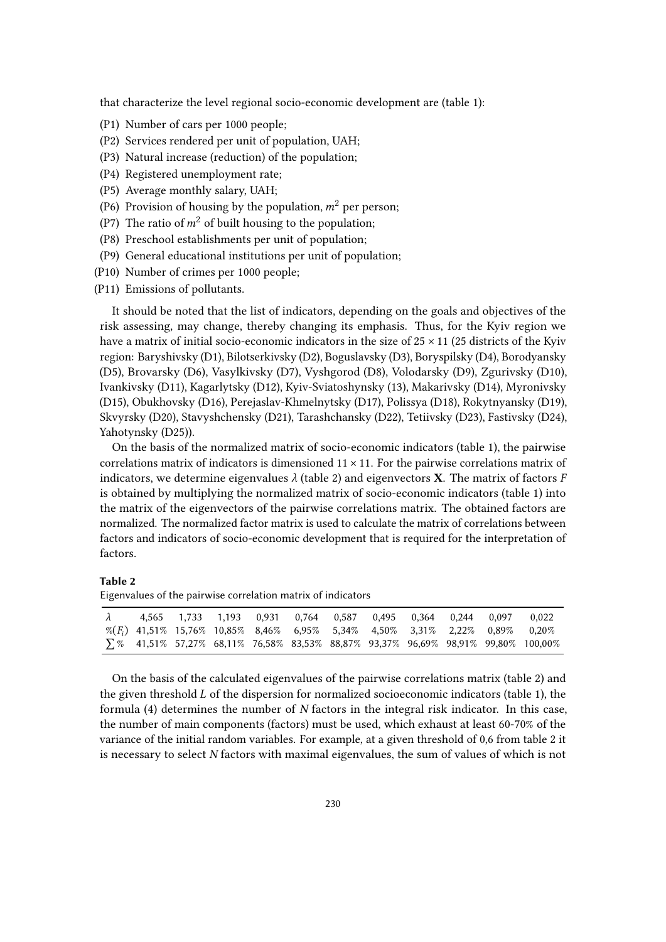that characterize the level regional socio-economic development are (table 1):

- (P1) Number of cars per 1000 people;
- (P2) Services rendered per unit of population, UAH;
- (P3) Natural increase (reduction) of the population;
- (P4) Registered unemployment rate;
- (P5) Average monthly salary, UAH;
- (P6) Provision of housing by the population,  $m^2$  per person;
- (P7) The ratio of  $m^2$  of built housing to the population;
- (P8) Preschool establishments per unit of population;
- (P9) General educational institutions per unit of population;
- (P10) Number of crimes per 1000 people;
- (P11) Emissions of pollutants.

It should be noted that the list of indicators, depending on the goals and objectives of the risk assessing, may change, thereby changing its emphasis. Thus, for the Kyiv region we have a matrix of initial socio-economic indicators in the size of  $25 \times 11$  (25 districts of the Kyiv region: Baryshivsky (D1), Bilotserkivsky (D2), Boguslavsky (D3), Boryspilsky (D4), Borodyansky (D5), Brovarsky (D6), Vasylkivsky (D7), Vyshgorod (D8), Volodarsky (D9), Zgurivsky (D10), Ivankivsky (D11), Kagarlytsky (D12), Kyiv-Sviatoshynsky (13), Makarivsky (D14), Myronivsky (D15), Obukhovsky (D16), Perejaslav-Khmelnytsky (D17), Polissya (D18), Rokytnyansky (D19), Skvyrsky (D20), Stavyshchensky (D21), Tarashchansky (D22), Tetiivsky (D23), Fastivsky (D24), Yahotynsky (D25)).

On the basis of the normalized matrix of socio-economic indicators (table 1), the pairwise correlations matrix of indicators is dimensioned  $11 \times 11$ . For the pairwise correlations matrix of indicators, we determine eigenvalues  $\lambda$  (table 2) and eigenvectors **X**. The matrix of factors F is obtained by multiplying the normalized matrix of socio-economic indicators (table 1) into the matrix of the eigenvectors of the pairwise correlations matrix. The obtained factors are normalized. The normalized factor matrix is used to calculate the matrix of correlations between factors and indicators of socio-economic development that is required for the interpretation of factors.

### **Table 2**

Eigenvalues of the pairwise correlation matrix of indicators

| $\lambda$ |                                                                                             | 4,565 1,733 1,193 0,931 0,764 0,587 0,495 0,364 0,244 0,097 |  |  |  | 0.022                                                                                   |
|-----------|---------------------------------------------------------------------------------------------|-------------------------------------------------------------|--|--|--|-----------------------------------------------------------------------------------------|
|           | $\%$ (F <sub>i</sub> ) 41,51% 15,76% 10,85% 8,46% 6,95% 5,34% 4,50% 3,31% 2,22% 0,89% 0,20% |                                                             |  |  |  |                                                                                         |
|           |                                                                                             |                                                             |  |  |  | $\sum 26$ 41,51% 57,27% 68,11% 76,58% 83,53% 88,87% 93,37% 96,69% 98,91% 99,80% 100,00% |

On the basis of the calculated eigenvalues of the pairwise correlations matrix (table 2) and the given threshold  $L$  of the dispersion for normalized socioeconomic indicators (table 1), the formula  $(4)$  determines the number of  $N$  factors in the integral risk indicator. In this case, the number of main components (factors) must be used, which exhaust at least 60-70% of the variance of the initial random variables. For example, at a given threshold of 0,6 from table 2 it is necessary to select N factors with maximal eigenvalues, the sum of values of which is not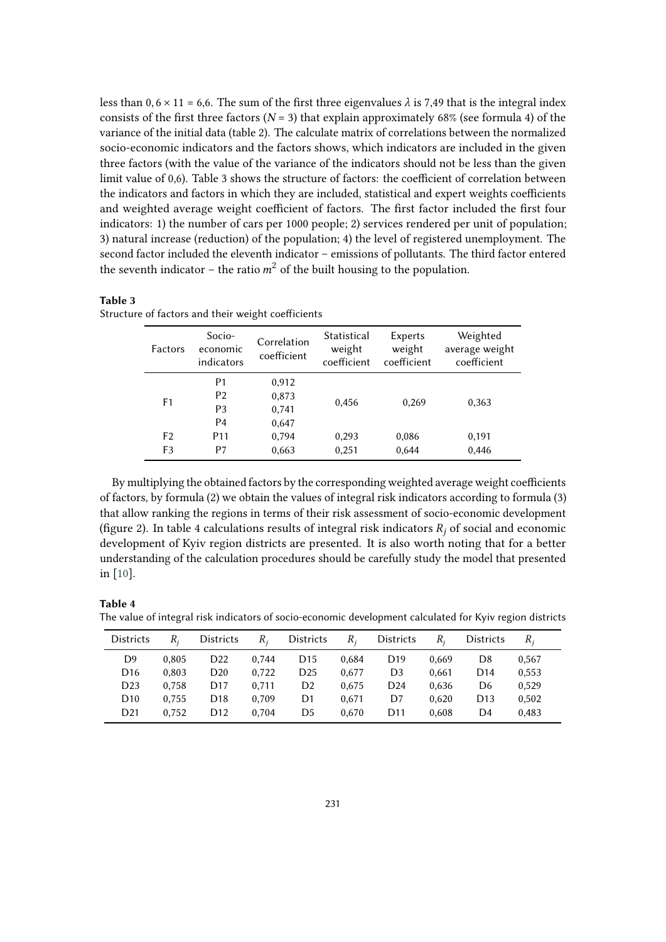less than  $0, 6 \times 11 = 6, 6$ . The sum of the first three eigenvalues  $\lambda$  is 7,49 that is the integral index consists of the first three factors ( $N = 3$ ) that explain approximately 68% (see formula 4) of the variance of the initial data (table 2). The calculate matrix of correlations between the normalized socio-economic indicators and the factors shows, which indicators are included in the given three factors (with the value of the variance of the indicators should not be less than the given limit value of 0,6). Table 3 shows the structure of factors: the coefficient of correlation between the indicators and factors in which they are included, statistical and expert weights coefficients and weighted average weight coefficient of factors. The first factor included the first four indicators: 1) the number of cars per 1000 people; 2) services rendered per unit of population; 3) natural increase (reduction) of the population; 4) the level of registered unemployment. The second factor included the eleventh indicator – emissions of pollutants. The third factor entered the seventh indicator – the ratio  $m^2$  of the built housing to the population.

### **Table 3**

Structure of factors and their weight coefficients

| Factors              | Socio-<br>economic<br>indicators                         | Correlation<br>coefficient       | Statistical<br>weight<br>coefficient | Experts<br>weight<br>coefficient | Weighted<br>average weight<br>coefficient |
|----------------------|----------------------------------------------------------|----------------------------------|--------------------------------------|----------------------------------|-------------------------------------------|
| F1                   | P1<br>P <sub>2</sub><br>P <sub>3</sub><br>P <sub>4</sub> | 0,912<br>0,873<br>0,741<br>0,647 | 0,456                                | 0,269                            | 0,363                                     |
| F <sub>2</sub><br>F3 | P <sub>11</sub><br>P7                                    | 0,794<br>0,663                   | 0,293<br>0,251                       | 0,086<br>0,644                   | 0,191<br>0,446                            |

By multiplying the obtained factors by the corresponding weighted average weight coefficients of factors, by formula (2) we obtain the values of integral risk indicators according to formula (3) that allow ranking the regions in terms of their risk assessment of socio-economic development (figure 2). In table 4 calculations results of integral risk indicators  $R_i$  of social and economic development of Kyiv region districts are presented. It is also worth noting that for a better understanding of the calculation procedures should be carefully study the model that presented in [\[10\]](#page-8-8).

### **Table 4**

The value of integral risk indicators of socio-economic development calculated for Kyiv region districts

| <b>Districts</b> | $R_{i}$ | <b>Districts</b> | $R_{i}$ | <b>Districts</b> | $R_{i}$ | <b>Districts</b> |       | <b>Districts</b> | $R_{i}$ |
|------------------|---------|------------------|---------|------------------|---------|------------------|-------|------------------|---------|
| D9               | 0.805   | D <sub>22</sub>  | 0.744   | D <sub>15</sub>  | 0.684   | D <sub>19</sub>  | 0.669 | D8               | 0.567   |
| D <sub>16</sub>  | 0.803   | D <sub>20</sub>  | 0.722   | D <sub>25</sub>  | 0.677   | D <sub>3</sub>   | 0.661 | D <sub>14</sub>  | 0.553   |
| D <sub>23</sub>  | 0.758   | D <sub>17</sub>  | 0.711   | D2               | 0.675   | D <sub>24</sub>  | 0.636 | D6               | 0.529   |
| D <sub>10</sub>  | 0.755   | D <sub>18</sub>  | 0.709   | D1               | 0.671   | D7               | 0.620 | D <sub>13</sub>  | 0,502   |
| D <sub>21</sub>  | 0.752   | D <sub>12</sub>  | 0.704   | D5               | 0.670   | D11              | 0.608 | D4               | 0.483   |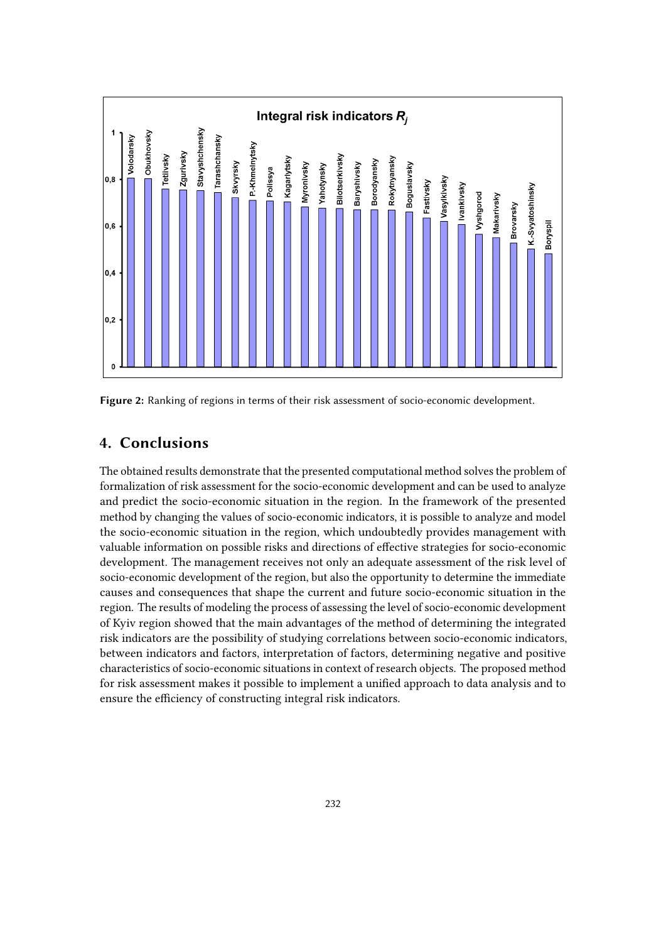

**Figure 2:** Ranking of regions in terms of their risk assessment of socio-economic development.

## **4. Conclusions**

The obtained results demonstrate that the presented computational method solves the problem of formalization of risk assessment for the socio-economic development and can be used to analyze and predict the socio-economic situation in the region. In the framework of the presented method by changing the values of socio-economic indicators, it is possible to analyze and model the socio-economic situation in the region, which undoubtedly provides management with valuable information on possible risks and directions of effective strategies for socio-economic development. The management receives not only an adequate assessment of the risk level of socio-economic development of the region, but also the opportunity to determine the immediate causes and consequences that shape the current and future socio-economic situation in the region. The results of modeling the process of assessing the level of socio-economic development of Kyiv region showed that the main advantages of the method of determining the integrated risk indicators are the possibility of studying correlations between socio-economic indicators, between indicators and factors, interpretation of factors, determining negative and positive characteristics of socio-economic situations in context of research objects. The proposed method for risk assessment makes it possible to implement a unified approach to data analysis and to ensure the efficiency of constructing integral risk indicators.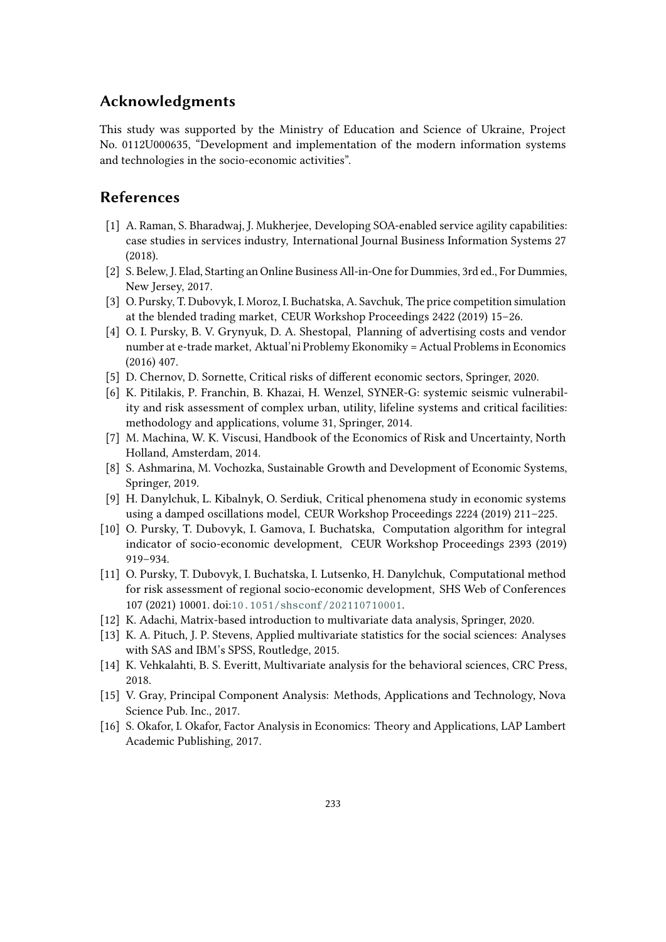### **Acknowledgments**

This study was supported by the Ministry of Education and Science of Ukraine, Project No. 0112U000635, "Development and implementation of the modern information systems and technologies in the socio-economic activities".

### **References**

- [1] A. Raman, S. Bharadwaj, J. Mukherjee, Developing SOA-enabled service agility capabilities: case studies in services industry, International Journal Business Information Systems 27 (2018).
- <span id="page-8-0"></span>[2] S. Belew, J. Elad, Starting an Online Business All-in-One for Dummies, 3rd ed., For Dummies, New Jersey, 2017.
- <span id="page-8-1"></span>[3] O. Pursky, T. Dubovyk, I. Moroz, I. Buchatska, A. Savchuk, The price competition simulation at the blended trading market, CEUR Workshop Proceedings 2422 (2019) 15–26.
- <span id="page-8-2"></span>[4] O. I. Pursky, B. V. Grynyuk, D. A. Shestopal, Planning of advertising costs and vendor number at e-trade market, Aktual'ni Problemy Ekonomiky = Actual Problems in Economics (2016) 407.
- <span id="page-8-3"></span>[5] D. Chernov, D. Sornette, Critical risks of different economic sectors, Springer, 2020.
- <span id="page-8-4"></span>[6] K. Pitilakis, P. Franchin, B. Khazai, H. Wenzel, SYNER-G: systemic seismic vulnerability and risk assessment of complex urban, utility, lifeline systems and critical facilities: methodology and applications, volume 31, Springer, 2014.
- <span id="page-8-5"></span>[7] M. Machina, W. K. Viscusi, Handbook of the Economics of Risk and Uncertainty, North Holland, Amsterdam, 2014.
- <span id="page-8-6"></span>[8] S. Ashmarina, M. Vochozka, Sustainable Growth and Development of Economic Systems, Springer, 2019.
- <span id="page-8-7"></span>[9] H. Danylchuk, L. Kibalnyk, O. Serdiuk, Critical phenomena study in economic systems using a damped oscillations model, CEUR Workshop Proceedings 2224 (2019) 211–225.
- <span id="page-8-8"></span>[10] O. Pursky, T. Dubovyk, I. Gamova, I. Buchatska, Computation algorithm for integral indicator of socio-economic development, CEUR Workshop Proceedings 2393 (2019) 919–934.
- <span id="page-8-9"></span>[11] O. Pursky, T. Dubovyk, I. Buchatska, I. Lutsenko, H. Danylchuk, Computational method for risk assessment of regional socio-economic development, SHS Web of Conferences 107 (2021) 10001. doi:[10.1051/shsconf/202110710001](http://dx.doi.org/10.1051/shsconf/202110710001).
- <span id="page-8-10"></span>[12] K. Adachi, Matrix-based introduction to multivariate data analysis, Springer, 2020.
- <span id="page-8-11"></span>[13] K. A. Pituch, J. P. Stevens, Applied multivariate statistics for the social sciences: Analyses with SAS and IBM's SPSS, Routledge, 2015.
- <span id="page-8-12"></span>[14] K. Vehkalahti, B. S. Everitt, Multivariate analysis for the behavioral sciences, CRC Press, 2018.
- <span id="page-8-13"></span>[15] V. Gray, Principal Component Analysis: Methods, Applications and Technology, Nova Science Pub. Inc., 2017.
- <span id="page-8-14"></span>[16] S. Okafor, I. Okafor, Factor Analysis in Economics: Theory and Applications, LAP Lambert Academic Publishing, 2017.